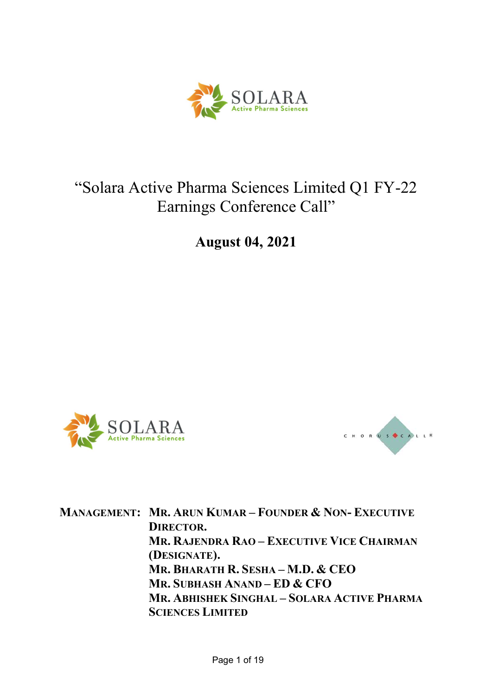

# "Solara Active Pharma Sciences Limited Q1 FY-22 Earnings Conference Call"

August 04, 2021





MANAGEMENT: MR. ARUN KUMAR – FOUNDER & NON- EXECUTIVE DIRECTOR. MR. RAJENDRA RAO – EXECUTIVE VICE CHAIRMAN (DESIGNATE). MR. BHARATH R. SESHA – M.D. & CEO MR. SUBHASH ANAND – ED & CFO MR. ABHISHEK SINGHAL – SOLARA ACTIVE PHARMA SCIENCES LIMITED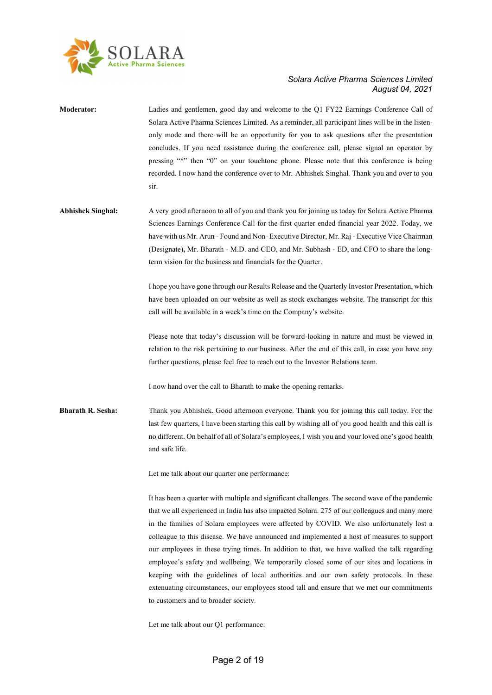

| <b>Moderator:</b>        | Ladies and gentlemen, good day and welcome to the Q1 FY22 Earnings Conference Call of<br>Solara Active Pharma Sciences Limited. As a reminder, all participant lines will be in the listen-<br>only mode and there will be an opportunity for you to ask questions after the presentation<br>concludes. If you need assistance during the conference call, please signal an operator by<br>pressing "*" then "0" on your touchtone phone. Please note that this conference is being<br>recorded. I now hand the conference over to Mr. Abhishek Singhal. Thank you and over to you<br>sir.                                                                                                                                                                                                                               |
|--------------------------|--------------------------------------------------------------------------------------------------------------------------------------------------------------------------------------------------------------------------------------------------------------------------------------------------------------------------------------------------------------------------------------------------------------------------------------------------------------------------------------------------------------------------------------------------------------------------------------------------------------------------------------------------------------------------------------------------------------------------------------------------------------------------------------------------------------------------|
| <b>Abhishek Singhal:</b> | A very good afternoon to all of you and thank you for joining us today for Solara Active Pharma<br>Sciences Earnings Conference Call for the first quarter ended financial year 2022. Today, we<br>have with us Mr. Arun - Found and Non-Executive Director, Mr. Raj - Executive Vice Chairman<br>(Designate), Mr. Bharath - M.D. and CEO, and Mr. Subhash - ED, and CFO to share the long-<br>term vision for the business and financials for the Quarter.                                                                                                                                                                                                                                                                                                                                                              |
|                          | I hope you have gone through our Results Release and the Quarterly Investor Presentation, which<br>have been uploaded on our website as well as stock exchanges website. The transcript for this<br>call will be available in a week's time on the Company's website.                                                                                                                                                                                                                                                                                                                                                                                                                                                                                                                                                    |
|                          | Please note that today's discussion will be forward-looking in nature and must be viewed in<br>relation to the risk pertaining to our business. After the end of this call, in case you have any<br>further questions, please feel free to reach out to the Investor Relations team.                                                                                                                                                                                                                                                                                                                                                                                                                                                                                                                                     |
|                          | I now hand over the call to Bharath to make the opening remarks.                                                                                                                                                                                                                                                                                                                                                                                                                                                                                                                                                                                                                                                                                                                                                         |
| <b>Bharath R. Sesha:</b> | Thank you Abhishek. Good afternoon everyone. Thank you for joining this call today. For the<br>last few quarters, I have been starting this call by wishing all of you good health and this call is<br>no different. On behalf of all of Solara's employees, I wish you and your loved one's good health<br>and safe life.                                                                                                                                                                                                                                                                                                                                                                                                                                                                                               |
|                          | Let me talk about our quarter one performance:                                                                                                                                                                                                                                                                                                                                                                                                                                                                                                                                                                                                                                                                                                                                                                           |
|                          | It has been a quarter with multiple and significant challenges. The second wave of the pandemic<br>that we all experienced in India has also impacted Solara. 275 of our colleagues and many more<br>in the families of Solara employees were affected by COVID. We also unfortunately lost a<br>colleague to this disease. We have announced and implemented a host of measures to support<br>our employees in these trying times. In addition to that, we have walked the talk regarding<br>employee's safety and wellbeing. We temporarily closed some of our sites and locations in<br>keeping with the guidelines of local authorities and our own safety protocols. In these<br>extenuating circumstances, our employees stood tall and ensure that we met our commitments<br>to customers and to broader society. |

Let me talk about our Q1 performance: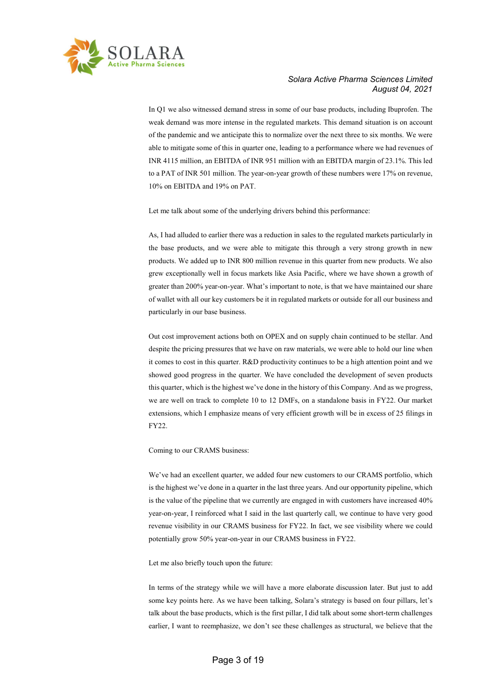

In Q1 we also witnessed demand stress in some of our base products, including Ibuprofen. The weak demand was more intense in the regulated markets. This demand situation is on account of the pandemic and we anticipate this to normalize over the next three to six months. We were able to mitigate some of this in quarter one, leading to a performance where we had revenues of INR 4115 million, an EBITDA of INR 951 million with an EBITDA margin of 23.1%. This led to a PAT of INR 501 million. The year-on-year growth of these numbers were 17% on revenue, 10% on EBITDA and 19% on PAT.

Let me talk about some of the underlying drivers behind this performance:

As, I had alluded to earlier there was a reduction in sales to the regulated markets particularly in the base products, and we were able to mitigate this through a very strong growth in new products. We added up to INR 800 million revenue in this quarter from new products. We also grew exceptionally well in focus markets like Asia Pacific, where we have shown a growth of greater than 200% year-on-year. What's important to note, is that we have maintained our share of wallet with all our key customers be it in regulated markets or outside for all our business and particularly in our base business.

Out cost improvement actions both on OPEX and on supply chain continued to be stellar. And despite the pricing pressures that we have on raw materials, we were able to hold our line when it comes to cost in this quarter. R&D productivity continues to be a high attention point and we showed good progress in the quarter. We have concluded the development of seven products this quarter, which is the highest we've done in the history of this Company. And as we progress, we are well on track to complete 10 to 12 DMFs, on a standalone basis in FY22. Our market extensions, which I emphasize means of very efficient growth will be in excess of 25 filings in FY22.

Coming to our CRAMS business:

We've had an excellent quarter, we added four new customers to our CRAMS portfolio, which is the highest we've done in a quarter in the last three years. And our opportunity pipeline, which is the value of the pipeline that we currently are engaged in with customers have increased 40% year-on-year, I reinforced what I said in the last quarterly call, we continue to have very good revenue visibility in our CRAMS business for FY22. In fact, we see visibility where we could potentially grow 50% year-on-year in our CRAMS business in FY22.

Let me also briefly touch upon the future:

In terms of the strategy while we will have a more elaborate discussion later. But just to add some key points here. As we have been talking, Solara's strategy is based on four pillars, let's talk about the base products, which is the first pillar, I did talk about some short-term challenges earlier, I want to reemphasize, we don't see these challenges as structural, we believe that the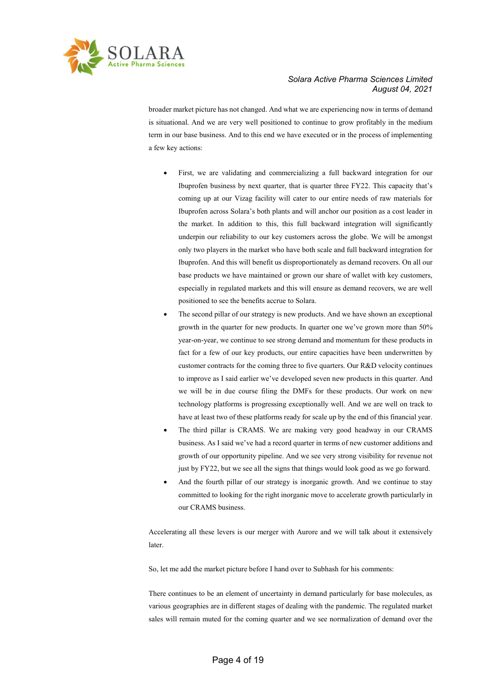

broader market picture has not changed. And what we are experiencing now in terms of demand is situational. And we are very well positioned to continue to grow profitably in the medium term in our base business. And to this end we have executed or in the process of implementing a few key actions:

- First, we are validating and commercializing a full backward integration for our Ibuprofen business by next quarter, that is quarter three FY22. This capacity that's coming up at our Vizag facility will cater to our entire needs of raw materials for Ibuprofen across Solara's both plants and will anchor our position as a cost leader in the market. In addition to this, this full backward integration will significantly underpin our reliability to our key customers across the globe. We will be amongst only two players in the market who have both scale and full backward integration for Ibuprofen. And this will benefit us disproportionately as demand recovers. On all our base products we have maintained or grown our share of wallet with key customers, especially in regulated markets and this will ensure as demand recovers, we are well positioned to see the benefits accrue to Solara.
- The second pillar of our strategy is new products. And we have shown an exceptional growth in the quarter for new products. In quarter one we've grown more than 50% year-on-year, we continue to see strong demand and momentum for these products in fact for a few of our key products, our entire capacities have been underwritten by customer contracts for the coming three to five quarters. Our R&D velocity continues to improve as I said earlier we've developed seven new products in this quarter. And we will be in due course filing the DMFs for these products. Our work on new technology platforms is progressing exceptionally well. And we are well on track to have at least two of these platforms ready for scale up by the end of this financial year.
- The third pillar is CRAMS. We are making very good headway in our CRAMS business. As I said we've had a record quarter in terms of new customer additions and growth of our opportunity pipeline. And we see very strong visibility for revenue not just by FY22, but we see all the signs that things would look good as we go forward.
- And the fourth pillar of our strategy is inorganic growth. And we continue to stay committed to looking for the right inorganic move to accelerate growth particularly in our CRAMS business.

Accelerating all these levers is our merger with Aurore and we will talk about it extensively later.

So, let me add the market picture before I hand over to Subhash for his comments:

There continues to be an element of uncertainty in demand particularly for base molecules, as various geographies are in different stages of dealing with the pandemic. The regulated market sales will remain muted for the coming quarter and we see normalization of demand over the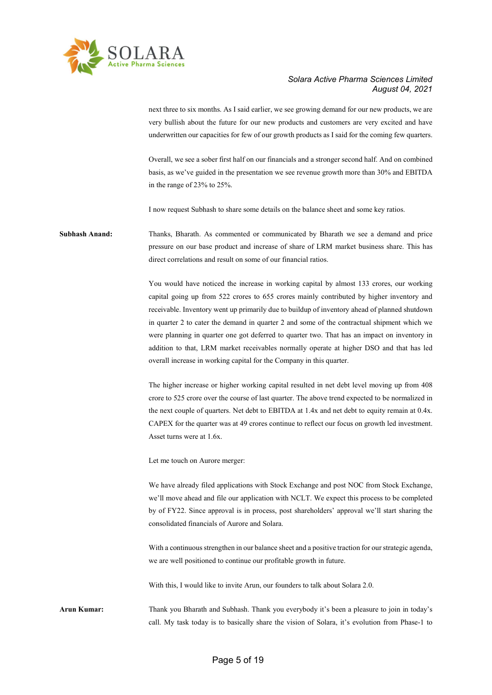

next three to six months. As I said earlier, we see growing demand for our new products, we are very bullish about the future for our new products and customers are very excited and have underwritten our capacities for few of our growth products as I said for the coming few quarters.

Overall, we see a sober first half on our financials and a stronger second half. And on combined basis, as we've guided in the presentation we see revenue growth more than 30% and EBITDA in the range of 23% to 25%.

I now request Subhash to share some details on the balance sheet and some key ratios.

Subhash Anand: Thanks, Bharath. As commented or communicated by Bharath we see a demand and price pressure on our base product and increase of share of LRM market business share. This has direct correlations and result on some of our financial ratios.

> You would have noticed the increase in working capital by almost 133 crores, our working capital going up from 522 crores to 655 crores mainly contributed by higher inventory and receivable. Inventory went up primarily due to buildup of inventory ahead of planned shutdown in quarter 2 to cater the demand in quarter 2 and some of the contractual shipment which we were planning in quarter one got deferred to quarter two. That has an impact on inventory in addition to that, LRM market receivables normally operate at higher DSO and that has led overall increase in working capital for the Company in this quarter.

> The higher increase or higher working capital resulted in net debt level moving up from 408 crore to 525 crore over the course of last quarter. The above trend expected to be normalized in the next couple of quarters. Net debt to EBITDA at 1.4x and net debt to equity remain at 0.4x. CAPEX for the quarter was at 49 crores continue to reflect our focus on growth led investment. Asset turns were at 1.6x.

Let me touch on Aurore merger:

We have already filed applications with Stock Exchange and post NOC from Stock Exchange, we'll move ahead and file our application with NCLT. We expect this process to be completed by of FY22. Since approval is in process, post shareholders' approval we'll start sharing the consolidated financials of Aurore and Solara.

With a continuous strengthen in our balance sheet and a positive traction for our strategic agenda, we are well positioned to continue our profitable growth in future.

With this, I would like to invite Arun, our founders to talk about Solara 2.0.

Arun Kumar: Thank you Bharath and Subhash. Thank you everybody it's been a pleasure to join in today's call. My task today is to basically share the vision of Solara, it's evolution from Phase-1 to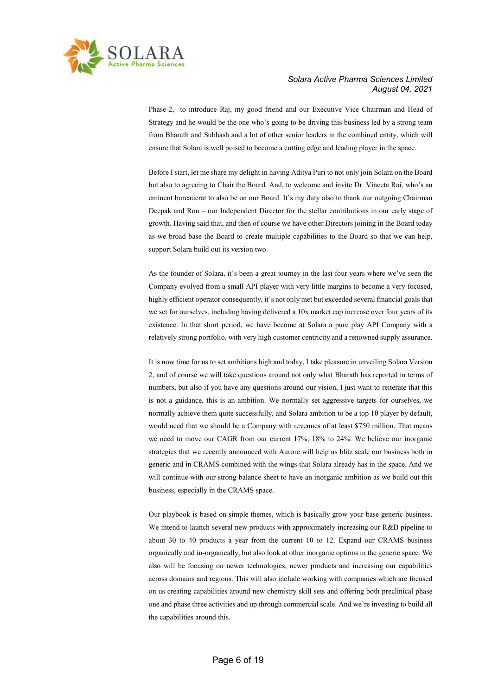

Phase-2, to introduce Raj, my good friend and our Executive Vice Chairman and Head of Strategy and he would be the one who's going to be driving this business led by a strong team from Bharath and Subhash and a lot of other senior leaders in the combined entity, which will ensure that Solara is well poised to become a cutting edge and leading player in the space.

Before I start, let me share my delight in having Aditya Puri to not only join Solara on the Board but also to agreeing to Chair the Board. And, to welcome and invite Dr. Vineeta Rai, who's an eminent bureaucrat to also be on our Board. It's my duty also to thank our outgoing Chairman Deepak and Ron – our Independent Director for the stellar contributions in our early stage of growth. Having said that, and then of course we have other Directors joining in the Board today as we broad base the Board to create multiple capabilities to the Board so that we can help, support Solara build out its version two.

As the founder of Solara, it's been a great journey in the last four years where we've seen the Company evolved from a small API player with very little margins to become a very focused, highly efficient operator consequently, it's not only met but exceeded several financial goals that we set for ourselves, including having delivered a 10x market cap increase over four years of its existence. In that short period, we have become at Solara a pure play API Company with a relatively strong portfolio, with very high customer centricity and a renowned supply assurance.

It is now time for us to set ambitions high and today, I take pleasure in unveiling Solara Version 2, and of course we will take questions around not only what Bharath has reported in terms of numbers, but also if you have any questions around our vision, I just want to reiterate that this is not a guidance, this is an ambition. We normally set aggressive targets for ourselves, we normally achieve them quite successfully, and Solara ambition to be a top 10 player by default, would need that we should be a Company with revenues of at least \$750 million. That means we need to move our CAGR from our current 17%, 18% to 24%. We believe our inorganic strategies that we recently announced with Aurore will help us blitz scale our business both in generic and in CRAMS combined with the wings that Solara already has in the space. And we will continue with our strong balance sheet to have an inorganic ambition as we build out this business, especially in the CRAMS space.

Our playbook is based on simple themes, which is basically grow your base generic business. We intend to launch several new products with approximately increasing our R&D pipeline to about 30 to 40 products a year from the current 10 to 12. Expand our CRAMS business organically and in-organically, but also look at other inorganic options in the generic space. We also will be focusing on newer technologies, newer products and increasing our capabilities across domains and regions. This will also include working with companies which are focused on us creating capabilities around new chemistry skill sets and offering both preclinical phase one and phase three activities and up through commercial scale. And we're investing to build all the capabilities around this.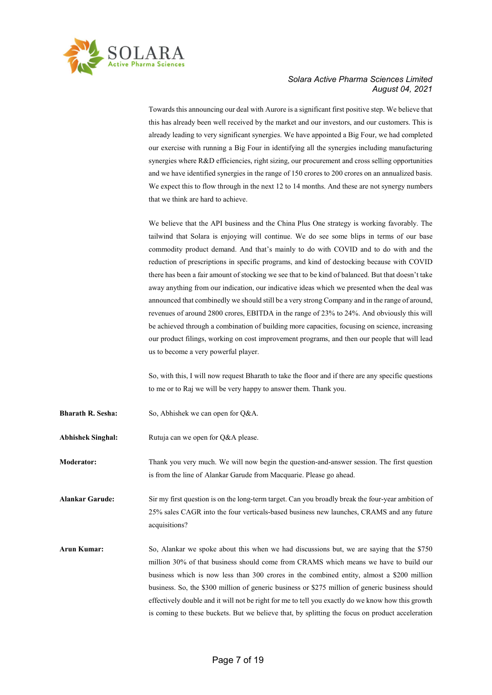

Towards this announcing our deal with Aurore is a significant first positive step. We believe that this has already been well received by the market and our investors, and our customers. This is already leading to very significant synergies. We have appointed a Big Four, we had completed our exercise with running a Big Four in identifying all the synergies including manufacturing synergies where R&D efficiencies, right sizing, our procurement and cross selling opportunities and we have identified synergies in the range of 150 crores to 200 crores on an annualized basis. We expect this to flow through in the next 12 to 14 months. And these are not synergy numbers that we think are hard to achieve.

We believe that the API business and the China Plus One strategy is working favorably. The tailwind that Solara is enjoying will continue. We do see some blips in terms of our base commodity product demand. And that's mainly to do with COVID and to do with and the reduction of prescriptions in specific programs, and kind of destocking because with COVID there has been a fair amount of stocking we see that to be kind of balanced. But that doesn't take away anything from our indication, our indicative ideas which we presented when the deal was announced that combinedly we should still be a very strong Company and in the range of around, revenues of around 2800 crores, EBITDA in the range of 23% to 24%. And obviously this will be achieved through a combination of building more capacities, focusing on science, increasing our product filings, working on cost improvement programs, and then our people that will lead us to become a very powerful player.

So, with this, I will now request Bharath to take the floor and if there are any specific questions to me or to Raj we will be very happy to answer them. Thank you.

- Bharath R. Sesha: So, Abhishek we can open for Q&A.
- Abhishek Singhal: Rutuja can we open for Q&A please.

Moderator: Thank you very much. We will now begin the question-and-answer session. The first question is from the line of Alankar Garude from Macquarie. Please go ahead.

Alankar Garude: Sir my first question is on the long-term target. Can you broadly break the four-year ambition of 25% sales CAGR into the four verticals-based business new launches, CRAMS and any future acquisitions?

Arun Kumar: So, Alankar we spoke about this when we had discussions but, we are saying that the \$750 million 30% of that business should come from CRAMS which means we have to build our business which is now less than 300 crores in the combined entity, almost a \$200 million business. So, the \$300 million of generic business or \$275 million of generic business should effectively double and it will not be right for me to tell you exactly do we know how this growth is coming to these buckets. But we believe that, by splitting the focus on product acceleration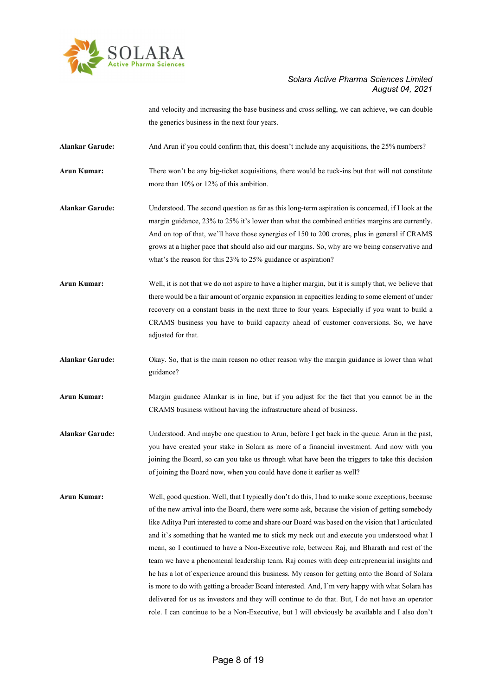

and velocity and increasing the base business and cross selling, we can achieve, we can double the generics business in the next four years.

Alankar Garude: And Arun if you could confirm that, this doesn't include any acquisitions, the 25% numbers?

Arun Kumar: There won't be any big-ticket acquisitions, there would be tuck-ins but that will not constitute more than 10% or 12% of this ambition.

- Alankar Garude: Understood. The second question as far as this long-term aspiration is concerned, if I look at the margin guidance, 23% to 25% it's lower than what the combined entities margins are currently. And on top of that, we'll have those synergies of 150 to 200 crores, plus in general if CRAMS grows at a higher pace that should also aid our margins. So, why are we being conservative and what's the reason for this 23% to 25% guidance or aspiration?
- Arun Kumar: Well, it is not that we do not aspire to have a higher margin, but it is simply that, we believe that there would be a fair amount of organic expansion in capacities leading to some element of under recovery on a constant basis in the next three to four years. Especially if you want to build a CRAMS business you have to build capacity ahead of customer conversions. So, we have adjusted for that.
- Alankar Garude: Okay. So, that is the main reason no other reason why the margin guidance is lower than what guidance?
- Arun Kumar: Margin guidance Alankar is in line, but if you adjust for the fact that you cannot be in the CRAMS business without having the infrastructure ahead of business.
- Alankar Garude: Understood. And maybe one question to Arun, before I get back in the queue. Arun in the past, you have created your stake in Solara as more of a financial investment. And now with you joining the Board, so can you take us through what have been the triggers to take this decision of joining the Board now, when you could have done it earlier as well?
- Arun Kumar: Well, good question. Well, that I typically don't do this, I had to make some exceptions, because of the new arrival into the Board, there were some ask, because the vision of getting somebody like Aditya Puri interested to come and share our Board was based on the vision that I articulated and it's something that he wanted me to stick my neck out and execute you understood what I mean, so I continued to have a Non-Executive role, between Raj, and Bharath and rest of the team we have a phenomenal leadership team. Raj comes with deep entrepreneurial insights and he has a lot of experience around this business. My reason for getting onto the Board of Solara is more to do with getting a broader Board interested. And, I'm very happy with what Solara has delivered for us as investors and they will continue to do that. But, I do not have an operator role. I can continue to be a Non-Executive, but I will obviously be available and I also don't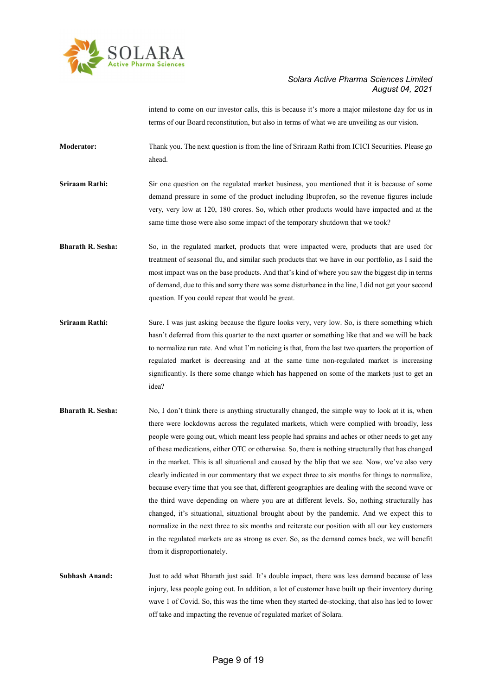

intend to come on our investor calls, this is because it's more a major milestone day for us in terms of our Board reconstitution, but also in terms of what we are unveiling as our vision.

Moderator: Thank you. The next question is from the line of Sriraam Rathi from ICICI Securities. Please go ahead.

Sriraam Rathi: Sir one question on the regulated market business, you mentioned that it is because of some demand pressure in some of the product including Ibuprofen, so the revenue figures include very, very low at 120, 180 crores. So, which other products would have impacted and at the same time those were also some impact of the temporary shutdown that we took?

Bharath R. Sesha: So, in the regulated market, products that were impacted were, products that are used for treatment of seasonal flu, and similar such products that we have in our portfolio, as I said the most impact was on the base products. And that's kind of where you saw the biggest dip in terms of demand, due to this and sorry there was some disturbance in the line, I did not get your second question. If you could repeat that would be great.

- Sriraam Rathi: Sure. I was just asking because the figure looks very, very low. So, is there something which hasn't deferred from this quarter to the next quarter or something like that and we will be back to normalize run rate. And what I'm noticing is that, from the last two quarters the proportion of regulated market is decreasing and at the same time non-regulated market is increasing significantly. Is there some change which has happened on some of the markets just to get an idea?
- Bharath R. Sesha: No, I don't think there is anything structurally changed, the simple way to look at it is, when there were lockdowns across the regulated markets, which were complied with broadly, less people were going out, which meant less people had sprains and aches or other needs to get any of these medications, either OTC or otherwise. So, there is nothing structurally that has changed in the market. This is all situational and caused by the blip that we see. Now, we've also very clearly indicated in our commentary that we expect three to six months for things to normalize, because every time that you see that, different geographies are dealing with the second wave or the third wave depending on where you are at different levels. So, nothing structurally has changed, it's situational, situational brought about by the pandemic. And we expect this to normalize in the next three to six months and reiterate our position with all our key customers in the regulated markets are as strong as ever. So, as the demand comes back, we will benefit from it disproportionately.

Subhash Anand: Just to add what Bharath just said. It's double impact, there was less demand because of less injury, less people going out. In addition, a lot of customer have built up their inventory during wave 1 of Covid. So, this was the time when they started de-stocking, that also has led to lower off take and impacting the revenue of regulated market of Solara.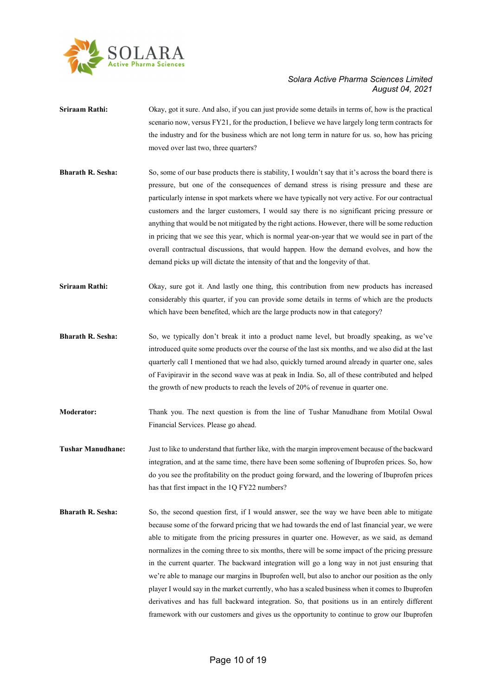

- Sriraam Rathi: Okay, got it sure. And also, if you can just provide some details in terms of, how is the practical scenario now, versus FY21, for the production, I believe we have largely long term contracts for the industry and for the business which are not long term in nature for us. so, how has pricing moved over last two, three quarters?
- Bharath R. Sesha: So, some of our base products there is stability, I wouldn't say that it's across the board there is pressure, but one of the consequences of demand stress is rising pressure and these are particularly intense in spot markets where we have typically not very active. For our contractual customers and the larger customers, I would say there is no significant pricing pressure or anything that would be not mitigated by the right actions. However, there will be some reduction in pricing that we see this year, which is normal year-on-year that we would see in part of the overall contractual discussions, that would happen. How the demand evolves, and how the demand picks up will dictate the intensity of that and the longevity of that.
- Sriraam Rathi: Okay, sure got it. And lastly one thing, this contribution from new products has increased considerably this quarter, if you can provide some details in terms of which are the products which have been benefited, which are the large products now in that category?
- Bharath R. Sesha: So, we typically don't break it into a product name level, but broadly speaking, as we've introduced quite some products over the course of the last six months, and we also did at the last quarterly call I mentioned that we had also, quickly turned around already in quarter one, sales of Favipiravir in the second wave was at peak in India. So, all of these contributed and helped the growth of new products to reach the levels of 20% of revenue in quarter one.
- Moderator: Thank you. The next question is from the line of Tushar Manudhane from Motilal Oswal Financial Services. Please go ahead.
- Tushar Manudhane: Just to like to understand that further like, with the margin improvement because of the backward integration, and at the same time, there have been some softening of Ibuprofen prices. So, how do you see the profitability on the product going forward, and the lowering of Ibuprofen prices has that first impact in the 1Q FY22 numbers?
- **Bharath R. Sesha:** So, the second question first, if I would answer, see the way we have been able to mitigate because some of the forward pricing that we had towards the end of last financial year, we were able to mitigate from the pricing pressures in quarter one. However, as we said, as demand normalizes in the coming three to six months, there will be some impact of the pricing pressure in the current quarter. The backward integration will go a long way in not just ensuring that we're able to manage our margins in Ibuprofen well, but also to anchor our position as the only player I would say in the market currently, who has a scaled business when it comes to Ibuprofen derivatives and has full backward integration. So, that positions us in an entirely different framework with our customers and gives us the opportunity to continue to grow our Ibuprofen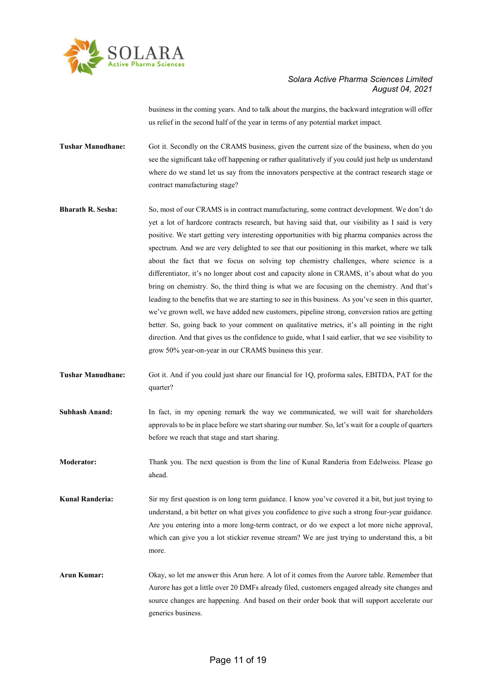

business in the coming years. And to talk about the margins, the backward integration will offer us relief in the second half of the year in terms of any potential market impact.

Tushar Manudhane: Got it. Secondly on the CRAMS business, given the current size of the business, when do you see the significant take off happening or rather qualitatively if you could just help us understand where do we stand let us say from the innovators perspective at the contract research stage or contract manufacturing stage?

- Bharath R. Sesha: So, most of our CRAMS is in contract manufacturing, some contract development. We don't do yet a lot of hardcore contracts research, but having said that, our visibility as I said is very positive. We start getting very interesting opportunities with big pharma companies across the spectrum. And we are very delighted to see that our positioning in this market, where we talk about the fact that we focus on solving top chemistry challenges, where science is a differentiator, it's no longer about cost and capacity alone in CRAMS, it's about what do you bring on chemistry. So, the third thing is what we are focusing on the chemistry. And that's leading to the benefits that we are starting to see in this business. As you've seen in this quarter, we've grown well, we have added new customers, pipeline strong, conversion ratios are getting better. So, going back to your comment on qualitative metrics, it's all pointing in the right direction. And that gives us the confidence to guide, what I said earlier, that we see visibility to grow 50% year-on-year in our CRAMS business this year.
- Tushar Manudhane: Got it. And if you could just share our financial for 1Q, proforma sales, EBITDA, PAT for the quarter?
- Subhash Anand: In fact, in my opening remark the way we communicated, we will wait for shareholders approvals to be in place before we start sharing our number. So, let's wait for a couple of quarters before we reach that stage and start sharing.
- Moderator: Thank you. The next question is from the line of Kunal Randeria from Edelweiss. Please go ahead.
- Kunal Randeria: Sir my first question is on long term guidance. I know you've covered it a bit, but just trying to understand, a bit better on what gives you confidence to give such a strong four-year guidance. Are you entering into a more long-term contract, or do we expect a lot more niche approval, which can give you a lot stickier revenue stream? We are just trying to understand this, a bit more.
- Arun Kumar: Okay, so let me answer this Arun here. A lot of it comes from the Aurore table. Remember that Aurore has got a little over 20 DMFs already filed, customers engaged already site changes and source changes are happening. And based on their order book that will support accelerate our generics business.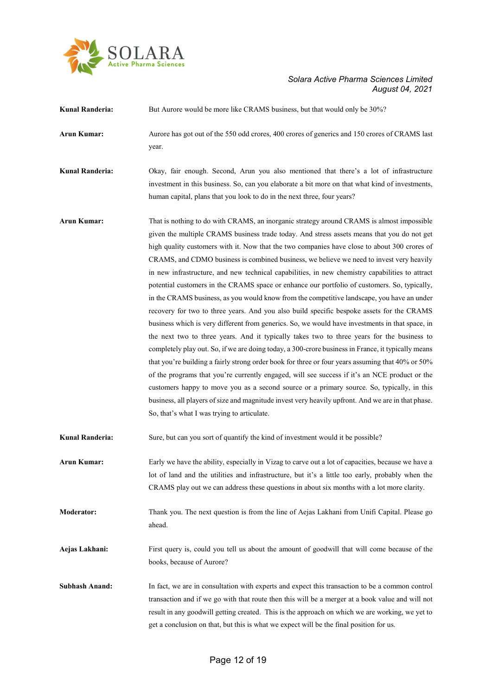

| Kunal Randeria:        | But Aurore would be more like CRAMS business, but that would only be 30%?                                                                                                                                                                                                                                                                                                                                                                                                                                                                                                                                                                                                                                                                                                                                                                                                                                                                                                                                                                                                                                                                                                                                                                                                                                                                                                                                                                                                                                                                        |
|------------------------|--------------------------------------------------------------------------------------------------------------------------------------------------------------------------------------------------------------------------------------------------------------------------------------------------------------------------------------------------------------------------------------------------------------------------------------------------------------------------------------------------------------------------------------------------------------------------------------------------------------------------------------------------------------------------------------------------------------------------------------------------------------------------------------------------------------------------------------------------------------------------------------------------------------------------------------------------------------------------------------------------------------------------------------------------------------------------------------------------------------------------------------------------------------------------------------------------------------------------------------------------------------------------------------------------------------------------------------------------------------------------------------------------------------------------------------------------------------------------------------------------------------------------------------------------|
| Arun Kumar:            | Aurore has got out of the 550 odd crores, 400 crores of generics and 150 crores of CRAMS last<br>year.                                                                                                                                                                                                                                                                                                                                                                                                                                                                                                                                                                                                                                                                                                                                                                                                                                                                                                                                                                                                                                                                                                                                                                                                                                                                                                                                                                                                                                           |
| <b>Kunal Randeria:</b> | Okay, fair enough. Second, Arun you also mentioned that there's a lot of infrastructure<br>investment in this business. So, can you elaborate a bit more on that what kind of investments,<br>human capital, plans that you look to do in the next three, four years?                                                                                                                                                                                                                                                                                                                                                                                                                                                                                                                                                                                                                                                                                                                                                                                                                                                                                                                                                                                                                                                                                                                                                                                                                                                                            |
| <b>Arun Kumar:</b>     | That is nothing to do with CRAMS, an inorganic strategy around CRAMS is almost impossible<br>given the multiple CRAMS business trade today. And stress assets means that you do not get<br>high quality customers with it. Now that the two companies have close to about 300 crores of<br>CRAMS, and CDMO business is combined business, we believe we need to invest very heavily<br>in new infrastructure, and new technical capabilities, in new chemistry capabilities to attract<br>potential customers in the CRAMS space or enhance our portfolio of customers. So, typically,<br>in the CRAMS business, as you would know from the competitive landscape, you have an under<br>recovery for two to three years. And you also build specific bespoke assets for the CRAMS<br>business which is very different from generics. So, we would have investments in that space, in<br>the next two to three years. And it typically takes two to three years for the business to<br>completely play out. So, if we are doing today, a 300-crore business in France, it typically means<br>that you're building a fairly strong order book for three or four years assuming that 40% or 50%<br>of the programs that you're currently engaged, will see success if it's an NCE product or the<br>customers happy to move you as a second source or a primary source. So, typically, in this<br>business, all players of size and magnitude invest very heavily upfront. And we are in that phase.<br>So, that's what I was trying to articulate. |
| Kunal Randeria:        | Sure, but can you sort of quantify the kind of investment would it be possible?                                                                                                                                                                                                                                                                                                                                                                                                                                                                                                                                                                                                                                                                                                                                                                                                                                                                                                                                                                                                                                                                                                                                                                                                                                                                                                                                                                                                                                                                  |
| <b>Arun Kumar:</b>     | Early we have the ability, especially in Vizag to carve out a lot of capacities, because we have a<br>lot of land and the utilities and infrastructure, but it's a little too early, probably when the<br>CRAMS play out we can address these questions in about six months with a lot more clarity.                                                                                                                                                                                                                                                                                                                                                                                                                                                                                                                                                                                                                                                                                                                                                                                                                                                                                                                                                                                                                                                                                                                                                                                                                                             |
| <b>Moderator:</b>      | Thank you. The next question is from the line of Aejas Lakhani from Unifi Capital. Please go<br>ahead.                                                                                                                                                                                                                                                                                                                                                                                                                                                                                                                                                                                                                                                                                                                                                                                                                                                                                                                                                                                                                                                                                                                                                                                                                                                                                                                                                                                                                                           |
| Aejas Lakhani:         | First query is, could you tell us about the amount of goodwill that will come because of the<br>books, because of Aurore?                                                                                                                                                                                                                                                                                                                                                                                                                                                                                                                                                                                                                                                                                                                                                                                                                                                                                                                                                                                                                                                                                                                                                                                                                                                                                                                                                                                                                        |
| <b>Subhash Anand:</b>  | In fact, we are in consultation with experts and expect this transaction to be a common control<br>transaction and if we go with that route then this will be a merger at a book value and will not<br>result in any goodwill getting created. This is the approach on which we are working, we yet to<br>get a conclusion on that, but this is what we expect will be the final position for us.                                                                                                                                                                                                                                                                                                                                                                                                                                                                                                                                                                                                                                                                                                                                                                                                                                                                                                                                                                                                                                                                                                                                                |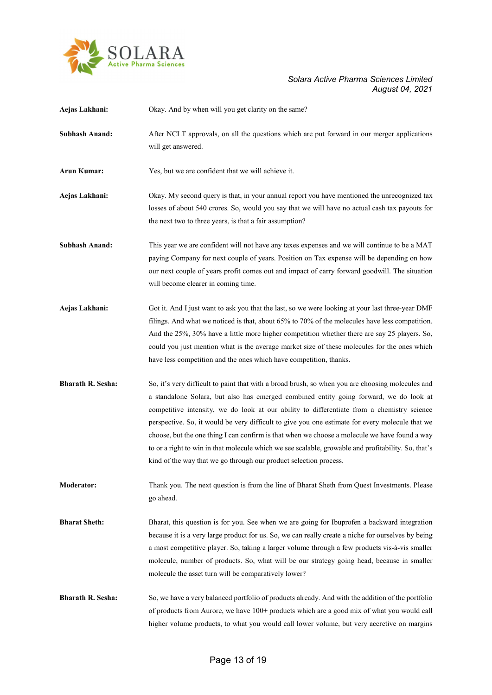

| Aejas Lakhani:           | Okay. And by when will you get clarity on the same?                                                                                                                                                                                                                                                                                                                                                                                                                                                                                                                                                                                                                      |
|--------------------------|--------------------------------------------------------------------------------------------------------------------------------------------------------------------------------------------------------------------------------------------------------------------------------------------------------------------------------------------------------------------------------------------------------------------------------------------------------------------------------------------------------------------------------------------------------------------------------------------------------------------------------------------------------------------------|
| <b>Subhash Anand:</b>    | After NCLT approvals, on all the questions which are put forward in our merger applications<br>will get answered.                                                                                                                                                                                                                                                                                                                                                                                                                                                                                                                                                        |
| <b>Arun Kumar:</b>       | Yes, but we are confident that we will achieve it.                                                                                                                                                                                                                                                                                                                                                                                                                                                                                                                                                                                                                       |
| Aejas Lakhani:           | Okay. My second query is that, in your annual report you have mentioned the unrecognized tax<br>losses of about 540 crores. So, would you say that we will have no actual cash tax payouts for<br>the next two to three years, is that a fair assumption?                                                                                                                                                                                                                                                                                                                                                                                                                |
| <b>Subhash Anand:</b>    | This year we are confident will not have any taxes expenses and we will continue to be a MAT<br>paying Company for next couple of years. Position on Tax expense will be depending on how<br>our next couple of years profit comes out and impact of carry forward goodwill. The situation<br>will become clearer in coming time.                                                                                                                                                                                                                                                                                                                                        |
| Aejas Lakhani:           | Got it. And I just want to ask you that the last, so we were looking at your last three-year DMF<br>filings. And what we noticed is that, about 65% to 70% of the molecules have less competition.<br>And the 25%, 30% have a little more higher competition whether there are say 25 players. So,<br>could you just mention what is the average market size of these molecules for the ones which<br>have less competition and the ones which have competition, thanks.                                                                                                                                                                                                 |
| <b>Bharath R. Sesha:</b> | So, it's very difficult to paint that with a broad brush, so when you are choosing molecules and<br>a standalone Solara, but also has emerged combined entity going forward, we do look at<br>competitive intensity, we do look at our ability to differentiate from a chemistry science<br>perspective. So, it would be very difficult to give you one estimate for every molecule that we<br>choose, but the one thing I can confirm is that when we choose a molecule we have found a way<br>to or a right to win in that molecule which we see scalable, growable and profitability. So, that's<br>kind of the way that we go through our product selection process. |
| <b>Moderator:</b>        | Thank you. The next question is from the line of Bharat Sheth from Quest Investments. Please<br>go ahead.                                                                                                                                                                                                                                                                                                                                                                                                                                                                                                                                                                |
| <b>Bharat Sheth:</b>     | Bharat, this question is for you. See when we are going for Ibuprofen a backward integration<br>because it is a very large product for us. So, we can really create a niche for ourselves by being<br>a most competitive player. So, taking a larger volume through a few products vis-à-vis smaller<br>molecule, number of products. So, what will be our strategy going head, because in smaller<br>molecule the asset turn will be comparatively lower?                                                                                                                                                                                                               |
| <b>Bharath R. Sesha:</b> | So, we have a very balanced portfolio of products already. And with the addition of the portfolio<br>of products from Aurore, we have 100+ products which are a good mix of what you would call<br>higher volume products, to what you would call lower volume, but very accretive on margins                                                                                                                                                                                                                                                                                                                                                                            |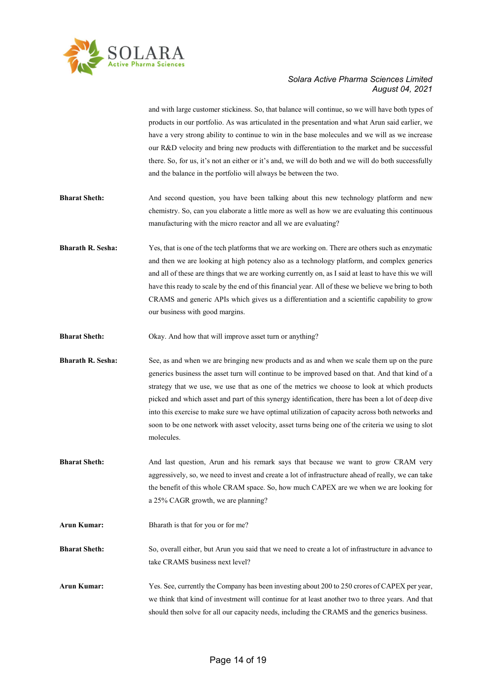

and with large customer stickiness. So, that balance will continue, so we will have both types of products in our portfolio. As was articulated in the presentation and what Arun said earlier, we have a very strong ability to continue to win in the base molecules and we will as we increase our R&D velocity and bring new products with differentiation to the market and be successful there. So, for us, it's not an either or it's and, we will do both and we will do both successfully and the balance in the portfolio will always be between the two.

- Bharat Sheth: And second question, you have been talking about this new technology platform and new chemistry. So, can you elaborate a little more as well as how we are evaluating this continuous manufacturing with the micro reactor and all we are evaluating?
- Bharath R. Sesha: Yes, that is one of the tech platforms that we are working on. There are others such as enzymatic and then we are looking at high potency also as a technology platform, and complex generics and all of these are things that we are working currently on, as I said at least to have this we will have this ready to scale by the end of this financial year. All of these we believe we bring to both CRAMS and generic APIs which gives us a differentiation and a scientific capability to grow our business with good margins.
- Bharat Sheth: Okay. And how that will improve asset turn or anything?
- **Bharath R. Sesha:** See, as and when we are bringing new products and as and when we scale them up on the pure generics business the asset turn will continue to be improved based on that. And that kind of a strategy that we use, we use that as one of the metrics we choose to look at which products picked and which asset and part of this synergy identification, there has been a lot of deep dive into this exercise to make sure we have optimal utilization of capacity across both networks and soon to be one network with asset velocity, asset turns being one of the criteria we using to slot molecules.
- Bharat Sheth: And last question, Arun and his remark says that because we want to grow CRAM very aggressively, so, we need to invest and create a lot of infrastructure ahead of really, we can take the benefit of this whole CRAM space. So, how much CAPEX are we when we are looking for a 25% CAGR growth, we are planning?
- Arun Kumar: Bharath is that for you or for me?

Bharat Sheth: So, overall either, but Arun you said that we need to create a lot of infrastructure in advance to take CRAMS business next level?

Arun Kumar: Yes. See, currently the Company has been investing about 200 to 250 crores of CAPEX per year, we think that kind of investment will continue for at least another two to three years. And that should then solve for all our capacity needs, including the CRAMS and the generics business.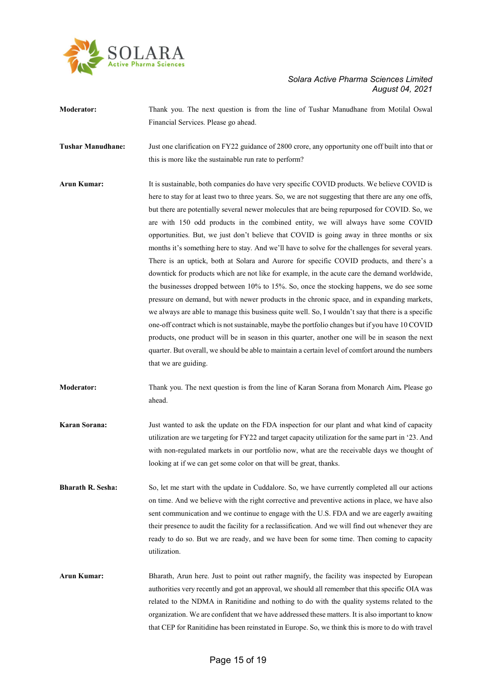

| <b>Moderator:</b>        | Thank you. The next question is from the line of Tushar Manudhane from Motilal Oswal<br>Financial Services. Please go ahead.                                                                                                                                                                                                                                                                                                                                                                                                                                                                                                                                                                                                                                                                                                                                                                                                                                                                                                                                                                                                                                                                                                                                                                                                                                                                                                |
|--------------------------|-----------------------------------------------------------------------------------------------------------------------------------------------------------------------------------------------------------------------------------------------------------------------------------------------------------------------------------------------------------------------------------------------------------------------------------------------------------------------------------------------------------------------------------------------------------------------------------------------------------------------------------------------------------------------------------------------------------------------------------------------------------------------------------------------------------------------------------------------------------------------------------------------------------------------------------------------------------------------------------------------------------------------------------------------------------------------------------------------------------------------------------------------------------------------------------------------------------------------------------------------------------------------------------------------------------------------------------------------------------------------------------------------------------------------------|
| <b>Tushar Manudhane:</b> | Just one clarification on FY22 guidance of 2800 crore, any opportunity one off built into that or<br>this is more like the sustainable run rate to perform?                                                                                                                                                                                                                                                                                                                                                                                                                                                                                                                                                                                                                                                                                                                                                                                                                                                                                                                                                                                                                                                                                                                                                                                                                                                                 |
| <b>Arun Kumar:</b>       | It is sustainable, both companies do have very specific COVID products. We believe COVID is<br>here to stay for at least two to three years. So, we are not suggesting that there are any one offs,<br>but there are potentially several newer molecules that are being repurposed for COVID. So, we<br>are with 150 odd products in the combined entity, we will always have some COVID<br>opportunities. But, we just don't believe that COVID is going away in three months or six<br>months it's something here to stay. And we'll have to solve for the challenges for several years.<br>There is an uptick, both at Solara and Aurore for specific COVID products, and there's a<br>downtick for products which are not like for example, in the acute care the demand worldwide,<br>the businesses dropped between 10% to 15%. So, once the stocking happens, we do see some<br>pressure on demand, but with newer products in the chronic space, and in expanding markets,<br>we always are able to manage this business quite well. So, I wouldn't say that there is a specific<br>one-off contract which is not sustainable, maybe the portfolio changes but if you have 10 COVID<br>products, one product will be in season in this quarter, another one will be in season the next<br>quarter. But overall, we should be able to maintain a certain level of comfort around the numbers<br>that we are guiding. |
| Moderator:               | Thank you. The next question is from the line of Karan Sorana from Monarch Aim. Please go<br>ahead.                                                                                                                                                                                                                                                                                                                                                                                                                                                                                                                                                                                                                                                                                                                                                                                                                                                                                                                                                                                                                                                                                                                                                                                                                                                                                                                         |
| <b>Karan Sorana:</b>     | Just wanted to ask the update on the FDA inspection for our plant and what kind of capacity<br>utilization are we targeting for FY22 and target capacity utilization for the same part in '23. And<br>with non-regulated markets in our portfolio now, what are the receivable days we thought of<br>looking at if we can get some color on that will be great, thanks.                                                                                                                                                                                                                                                                                                                                                                                                                                                                                                                                                                                                                                                                                                                                                                                                                                                                                                                                                                                                                                                     |
| <b>Bharath R. Sesha:</b> | So, let me start with the update in Cuddalore. So, we have currently completed all our actions<br>on time. And we believe with the right corrective and preventive actions in place, we have also<br>sent communication and we continue to engage with the U.S. FDA and we are eagerly awaiting<br>their presence to audit the facility for a reclassification. And we will find out whenever they are<br>ready to do so. But we are ready, and we have been for some time. Then coming to capacity<br>utilization.                                                                                                                                                                                                                                                                                                                                                                                                                                                                                                                                                                                                                                                                                                                                                                                                                                                                                                         |
| <b>Arun Kumar:</b>       | Bharath, Arun here. Just to point out rather magnify, the facility was inspected by European<br>authorities very recently and got an approval, we should all remember that this specific OIA was<br>related to the NDMA in Ranitidine and nothing to do with the quality systems related to the<br>organization. We are confident that we have addressed these matters. It is also important to know<br>that CEP for Ranitidine has been reinstated in Europe. So, we think this is more to do with travel                                                                                                                                                                                                                                                                                                                                                                                                                                                                                                                                                                                                                                                                                                                                                                                                                                                                                                                  |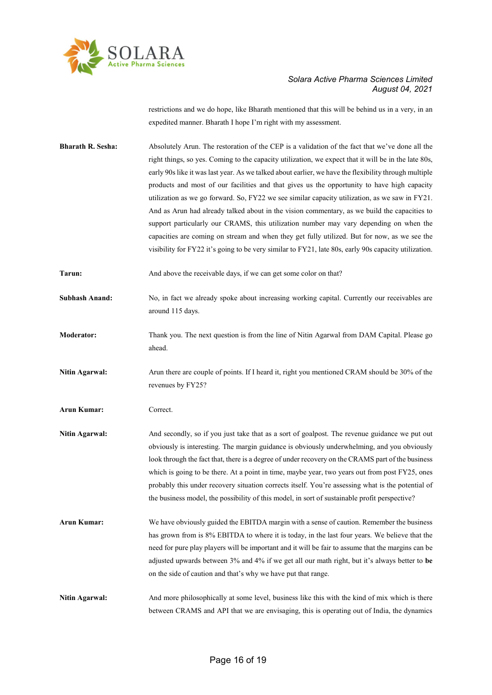

restrictions and we do hope, like Bharath mentioned that this will be behind us in a very, in an expedited manner. Bharath I hope I'm right with my assessment.

- Bharath R. Sesha: Absolutely Arun. The restoration of the CEP is a validation of the fact that we've done all the right things, so yes. Coming to the capacity utilization, we expect that it will be in the late 80s, early 90s like it was last year. As we talked about earlier, we have the flexibility through multiple products and most of our facilities and that gives us the opportunity to have high capacity utilization as we go forward. So, FY22 we see similar capacity utilization, as we saw in FY21. And as Arun had already talked about in the vision commentary, as we build the capacities to support particularly our CRAMS, this utilization number may vary depending on when the capacities are coming on stream and when they get fully utilized. But for now, as we see the visibility for FY22 it's going to be very similar to FY21, late 80s, early 90s capacity utilization.
- Tarun: And above the receivable days, if we can get some color on that?
- Subhash Anand: No, in fact we already spoke about increasing working capital. Currently our receivables are around 115 days.
- Moderator: Thank you. The next question is from the line of Nitin Agarwal from DAM Capital. Please go ahead.
- Nitin Agarwal: Arun there are couple of points. If I heard it, right you mentioned CRAM should be 30% of the revenues by FY25?
- Arun Kumar: Correct.
- Nitin Agarwal: And secondly, so if you just take that as a sort of goalpost. The revenue guidance we put out obviously is interesting. The margin guidance is obviously underwhelming, and you obviously look through the fact that, there is a degree of under recovery on the CRAMS part of the business which is going to be there. At a point in time, maybe year, two years out from post FY25, ones probably this under recovery situation corrects itself. You're assessing what is the potential of the business model, the possibility of this model, in sort of sustainable profit perspective?
- Arun Kumar: We have obviously guided the EBITDA margin with a sense of caution. Remember the business has grown from is 8% EBITDA to where it is today, in the last four years. We believe that the need for pure play players will be important and it will be fair to assume that the margins can be adjusted upwards between 3% and 4% if we get all our math right, but it's always better to be on the side of caution and that's why we have put that range.
- Nitin Agarwal: And more philosophically at some level, business like this with the kind of mix which is there between CRAMS and API that we are envisaging, this is operating out of India, the dynamics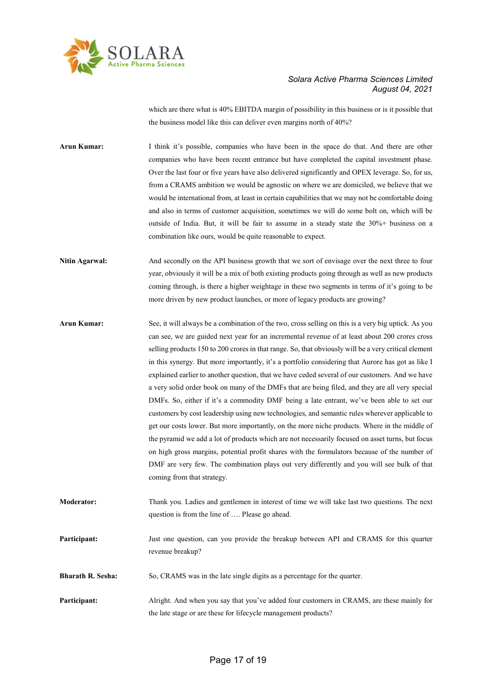

which are there what is 40% EBITDA margin of possibility in this business or is it possible that the business model like this can deliver even margins north of 40%?

Arun Kumar: I think it's possible, companies who have been in the space do that. And there are other companies who have been recent entrance but have completed the capital investment phase. Over the last four or five years have also delivered significantly and OPEX leverage. So, for us, from a CRAMS ambition we would be agnostic on where we are domiciled, we believe that we would be international from, at least in certain capabilities that we may not be comfortable doing and also in terms of customer acquisition, sometimes we will do some bolt on, which will be outside of India. But, it will be fair to assume in a steady state the 30%+ business on a combination like ours, would be quite reasonable to expect.

Nitin Agarwal: And secondly on the API business growth that we sort of envisage over the next three to four year, obviously it will be a mix of both existing products going through as well as new products coming through, is there a higher weightage in these two segments in terms of it's going to be more driven by new product launches, or more of legacy products are growing?

Arun Kumar: See, it will always be a combination of the two, cross selling on this is a very big uptick. As you can see, we are guided next year for an incremental revenue of at least about 200 crores cross selling products 150 to 200 crores in that range. So, that obviously will be a very critical element in this synergy. But more importantly, it's a portfolio considering that Aurore has got as like I explained earlier to another question, that we have ceded several of our customers. And we have a very solid order book on many of the DMFs that are being filed, and they are all very special DMFs. So, either if it's a commodity DMF being a late entrant, we've been able to set our customers by cost leadership using new technologies, and semantic rules wherever applicable to get our costs lower. But more importantly, on the more niche products. Where in the middle of the pyramid we add a lot of products which are not necessarily focused on asset turns, but focus on high gross margins, potential profit shares with the formulators because of the number of DMF are very few. The combination plays out very differently and you will see bulk of that coming from that strategy.

Moderator: Thank you. Ladies and gentlemen in interest of time we will take last two questions. The next question is from the line of …. Please go ahead.

Participant: Just one question, can you provide the breakup between API and CRAMS for this quarter revenue breakup?

**Bharath R. Sesha:** So, CRAMS was in the late single digits as a percentage for the quarter.

Participant: Alright. And when you say that you've added four customers in CRAMS, are these mainly for the late stage or are these for lifecycle management products?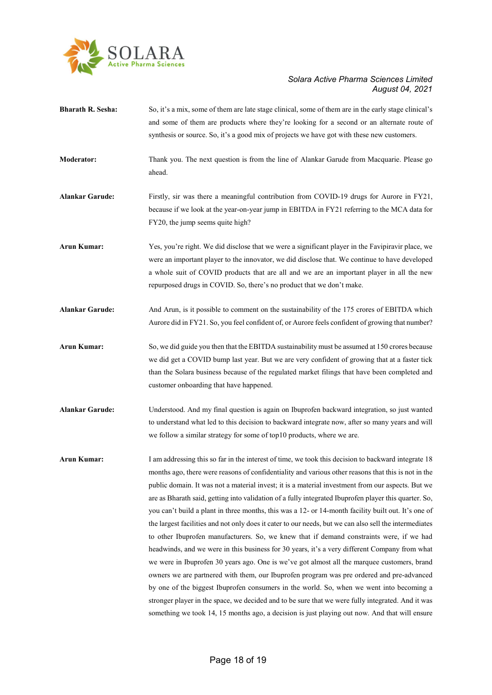

- Bharath R. Sesha: So, it's a mix, some of them are late stage clinical, some of them are in the early stage clinical's and some of them are products where they're looking for a second or an alternate route of synthesis or source. So, it's a good mix of projects we have got with these new customers.
- Moderator: Thank you. The next question is from the line of Alankar Garude from Macquarie. Please go ahead.
- Alankar Garude: Firstly, sir was there a meaningful contribution from COVID-19 drugs for Aurore in FY21, because if we look at the year-on-year jump in EBITDA in FY21 referring to the MCA data for FY20, the jump seems quite high?
- Arun Kumar: Yes, you're right. We did disclose that we were a significant player in the Favipiravir place, we were an important player to the innovator, we did disclose that. We continue to have developed a whole suit of COVID products that are all and we are an important player in all the new repurposed drugs in COVID. So, there's no product that we don't make.
- Alankar Garude: And Arun, is it possible to comment on the sustainability of the 175 crores of EBITDA which Aurore did in FY21. So, you feel confident of, or Aurore feels confident of growing that number?
- Arun Kumar: So, we did guide you then that the EBITDA sustainability must be assumed at 150 crores because we did get a COVID bump last year. But we are very confident of growing that at a faster tick than the Solara business because of the regulated market filings that have been completed and customer onboarding that have happened.
- Alankar Garude: Understood. And my final question is again on Ibuprofen backward integration, so just wanted to understand what led to this decision to backward integrate now, after so many years and will we follow a similar strategy for some of top10 products, where we are.
- Arun Kumar: I am addressing this so far in the interest of time, we took this decision to backward integrate 18 months ago, there were reasons of confidentiality and various other reasons that this is not in the public domain. It was not a material invest; it is a material investment from our aspects. But we are as Bharath said, getting into validation of a fully integrated Ibuprofen player this quarter. So, you can't build a plant in three months, this was a 12- or 14-month facility built out. It's one of the largest facilities and not only does it cater to our needs, but we can also sell the intermediates to other Ibuprofen manufacturers. So, we knew that if demand constraints were, if we had headwinds, and we were in this business for 30 years, it's a very different Company from what we were in Ibuprofen 30 years ago. One is we've got almost all the marquee customers, brand owners we are partnered with them, our Ibuprofen program was pre ordered and pre-advanced by one of the biggest Ibuprofen consumers in the world. So, when we went into becoming a stronger player in the space, we decided and to be sure that we were fully integrated. And it was something we took 14, 15 months ago, a decision is just playing out now. And that will ensure